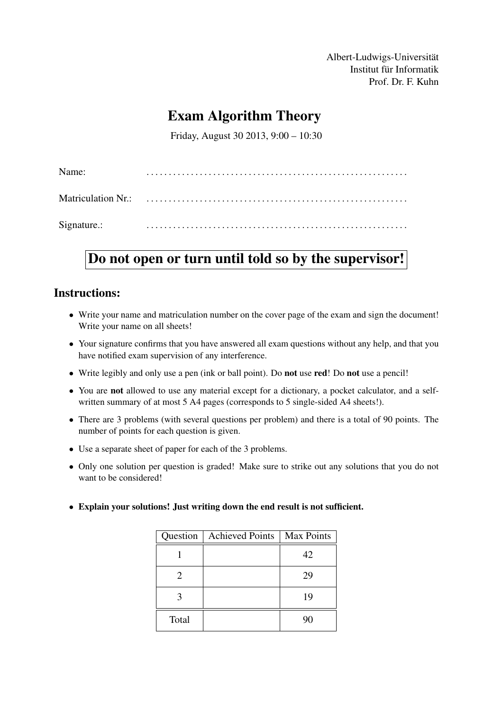Albert-Ludwigs-Universität Institut für Informatik Prof. Dr. F. Kuhn

## Exam Algorithm Theory

Friday, August 30 2013, 9:00 – 10:30

| Name:       |  |
|-------------|--|
|             |  |
| Signature.: |  |

# Do not open or turn until told so by the supervisor!

## Instructions:

- Write your name and matriculation number on the cover page of the exam and sign the document! Write your name on all sheets!
- Your signature confirms that you have answered all exam questions without any help, and that you have notified exam supervision of any interference.
- Write legibly and only use a pen (ink or ball point). Do not use red! Do not use a pencil!
- You are not allowed to use any material except for a dictionary, a pocket calculator, and a selfwritten summary of at most 5 A4 pages (corresponds to 5 single-sided A4 sheets!).
- There are 3 problems (with several questions per problem) and there is a total of 90 points. The number of points for each question is given.
- Use a separate sheet of paper for each of the 3 problems.
- Only one solution per question is graded! Make sure to strike out any solutions that you do not want to be considered!
- Explain your solutions! Just writing down the end result is not sufficient.

| Question              | <b>Achieved Points</b> | Max Points |
|-----------------------|------------------------|------------|
|                       |                        | 42         |
| $\mathcal{D}_{\cdot}$ |                        | 29         |
|                       |                        | 19         |
| Total                 |                        | 90         |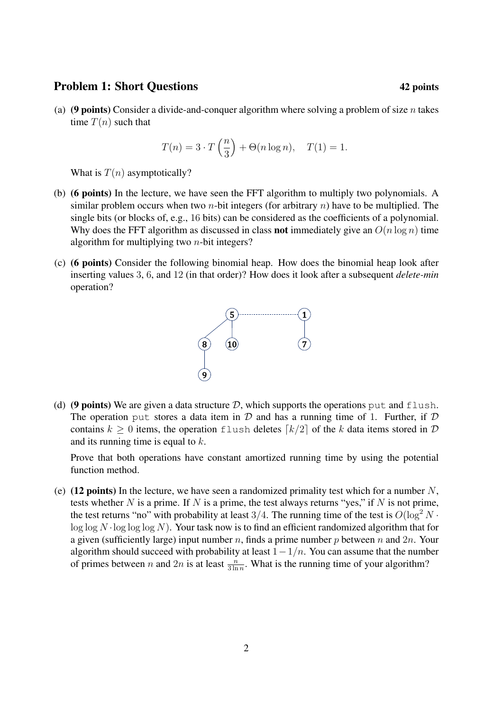### Problem 1: Short Questions 42 points 42 points

(a) (9 points) Consider a divide-and-conquer algorithm where solving a problem of size n takes time  $T(n)$  such that

$$
T(n) = 3 \cdot T\left(\frac{n}{3}\right) + \Theta(n \log n), \quad T(1) = 1.
$$

What is  $T(n)$  asymptotically?

- (b) (6 points) In the lecture, we have seen the FFT algorithm to multiply two polynomials. A similar problem occurs when two *n*-bit integers (for arbitrary *n*) have to be multiplied. The single bits (or blocks of, e.g., 16 bits) can be considered as the coefficients of a polynomial. Why does the FFT algorithm as discussed in class **not** immediately give an  $O(n \log n)$  time algorithm for multiplying two  $n$ -bit integers?
- (c) (6 points) Consider the following binomial heap. How does the binomial heap look after inserting values 3, 6, and 12 (in that order)? How does it look after a subsequent *delete-min* operation?



(d) (9 points) We are given a data structure  $D$ , which supports the operations put and flush. The operation put stores a data item in  $D$  and has a running time of 1. Further, if  $D$ contains  $k > 0$  items, the operation flush deletes  $\lceil k/2 \rceil$  of the k data items stored in D and its running time is equal to  $k$ .

Prove that both operations have constant amortized running time by using the potential function method.

(e) (12 points) In the lecture, we have seen a randomized primality test which for a number  $N$ , tests whether  $N$  is a prime. If  $N$  is a prime, the test always returns "yes," if  $N$  is not prime, the test returns "no" with probability at least 3/4. The running time of the test is  $O(\log^2 N \cdot$  $\log \log N \cdot \log \log \log N$ . Your task now is to find an efficient randomized algorithm that for a given (sufficiently large) input number n, finds a prime number p between n and  $2n$ . Your algorithm should succeed with probability at least  $1-1/n$ . You can assume that the number of primes between *n* and 2*n* is at least  $\frac{n}{3 \ln n}$ . What is the running time of your algorithm?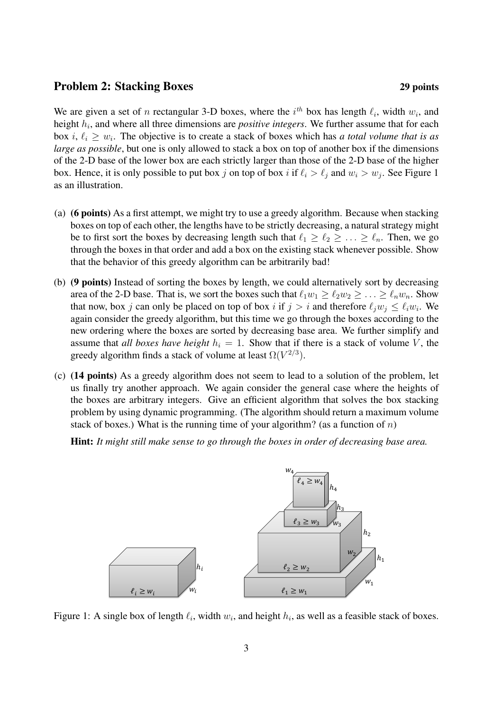### Problem 2: Stacking Boxes 29 points

We are given a set of n rectangular 3-D boxes, where the  $i<sup>th</sup>$  box has length  $\ell_i$ , width  $w_i$ , and height  $h_i$ , and where all three dimensions are *positive integers*. We further assume that for each box  $i, \ell_i \geq w_i$ . The objective is to create a stack of boxes which has *a total volume that is as large as possible*, but one is only allowed to stack a box on top of another box if the dimensions of the 2-D base of the lower box are each strictly larger than those of the 2-D base of the higher box. Hence, it is only possible to put box j on top of box i if  $\ell_i > \ell_j$  and  $w_i > w_j$ . See Figure 1 as an illustration.

- (a) (6 points) As a first attempt, we might try to use a greedy algorithm. Because when stacking boxes on top of each other, the lengths have to be strictly decreasing, a natural strategy might be to first sort the boxes by decreasing length such that  $\ell_1 \geq \ell_2 \geq \ldots \geq \ell_n$ . Then, we go through the boxes in that order and add a box on the existing stack whenever possible. Show that the behavior of this greedy algorithm can be arbitrarily bad!
- (b) (9 points) Instead of sorting the boxes by length, we could alternatively sort by decreasing area of the 2-D base. That is, we sort the boxes such that  $\ell_1w_1 \geq \ell_2w_2 \geq \ldots \geq \ell_nw_n$ . Show that now, box j can only be placed on top of box i if  $j > i$  and therefore  $\ell_j w_j \leq \ell_i w_i$ . We again consider the greedy algorithm, but this time we go through the boxes according to the new ordering where the boxes are sorted by decreasing base area. We further simplify and assume that *all boxes have height*  $h_i = 1$ . Show that if there is a stack of volume V, the greedy algorithm finds a stack of volume at least  $\Omega(V^{2/3})$ .
- (c) (14 points) As a greedy algorithm does not seem to lead to a solution of the problem, let us finally try another approach. We again consider the general case where the heights of the boxes are arbitrary integers. Give an efficient algorithm that solves the box stacking problem by using dynamic programming. (The algorithm should return a maximum volume stack of boxes.) What is the running time of your algorithm? (as a function of  $n$ )

Hint: *It might still make sense to go through the boxes in order of decreasing base area.*



Figure 1: A single box of length  $\ell_i$ , width  $w_i$ , and height  $h_i$ , as well as a feasible stack of boxes.